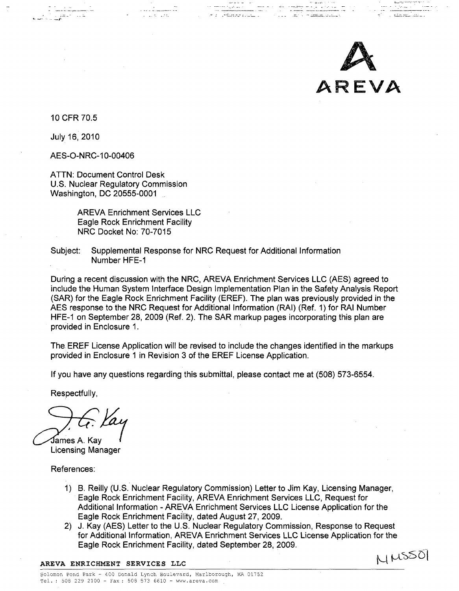

in de la componenta de la componenta de la componenta de la componenta de la componenta de la componenta de la<br>En 1930, establecer la componenta de la componenta de la componenta de la componenta de la componenta de la co

10 CFR 70.5

July 16, 2010

AES-O-NRC-10-00406

ATTN: Document Control Desk U.S. Nuclear Regulatory Commission Washington, DC 20555-0001

> AREVA Enrichment Services LLC Eagle Rock Enrichment Facility NRC Docket No: 70-7015

Subject: Supplemental Response for NRC Request for Additional Information Number HFE-1

During a recent discussion with the NRC, AREVA Enrichment Services LLC (AES) agreed to include the Human System Interface Design Implementation Plan in the Safety Analysis Report (SAR) for the Eagle Rock Enrichment Facility (EREF). The plan was previously provided in the AES response to the NRC Request for Additional Information (RAI) (Ref. 1) for RAI Number HFE-1 on September 28, 2009 (Ref. 2). The SAR markup pages incorporating this plan are provided in Enclosure 1.

e a Gêzarandin

The EREF License Application will be revised to include the changes identified in the markups provided in Enclosure **1** in Revision 3 of the EREF License Application.

If you have any questions regarding this submittal, please contact me at (508) 573-6554.

Respectfully,

Pames **A.** Kay,

Licensing Manager

References:

- **1)** B. Reilly (U.S. Nuclear Regulatory Commission) Letter to Jim Kay, Licensing Manager, Eagle Rock Enrichment Facility, AREVA Enrichment Services LLC, Request for Additional Information - ARE VA Enrichment Services LLC License Application for the Eagle Rock Enrichment Facility, dated August 27, 2009.
- 2) J. Kay (AES) Letter to the U.S. Nuclear Regulatory Commission, Response to Request for Additional Information, AREVA Enrichment Services LLC License Application for the Eagle Rock Enrichment Facility, dated September 28, 2009. AREVA ENRICHMENT SERVICES LLC<br>
AREVA ENRICHMENT SERVICES LLC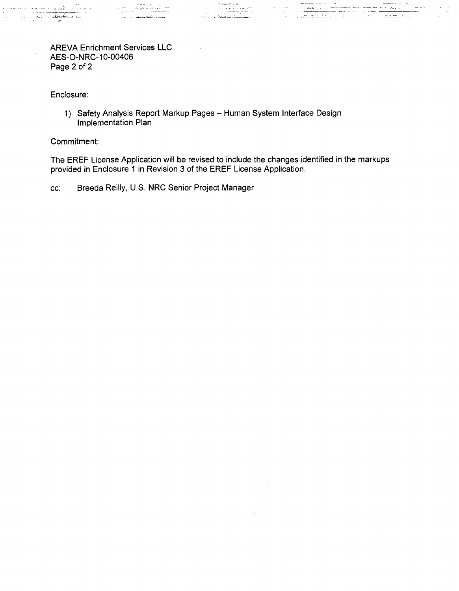## AREVA Enrichment Services LLC AES-O-NRC-10-00406 Page 2 of 2

Enclosure:

1) Safety Analysis Report Markup Pages - Human System Interface Design Implementation Plan

Commitment:

The EREF License Application will be revised to include the changes identified in the markups provided in Enclosure 1 in Revision 3 of the EREF License Application.

e cal

Service Superficient

cc: Breeda Reilly, U.S. NRC Senior Project Manager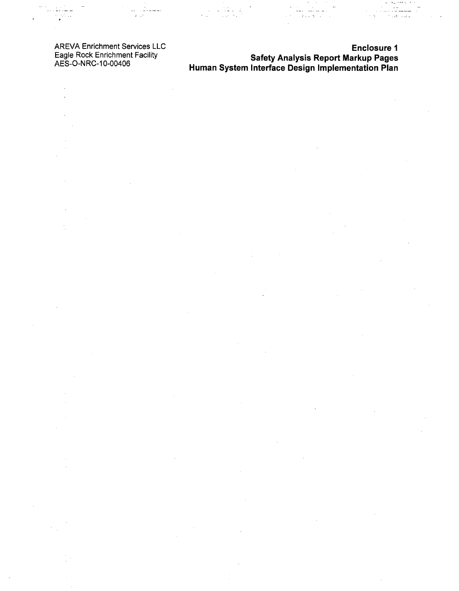AREVA Enrichment Services LLC Eagle Rock Enrichment Facility AES-O-NRC-10-00406

 $\chi^2/\chi^2$ 

للمنابها

 $\frac{1}{2}$  ,  $\frac{1}{2}$  ,  $\frac{1}{2}$  ,  $\frac{1}{2}$ 

 $\bar{\beta}$  $\bar{1}$ 

 $\cdot$ 

 $\hat{\boldsymbol{\beta}}$ 

 $\bar{ }$ 

 $\frac{\epsilon}{\epsilon}$ 

 $\bar{\phantom{a}}$ 

 $\bar{z}$ 

 $\overline{\phantom{a}}$ 

Enclosure **I** Safety Analysis Report Markup Pages Human System Interface Design Implementation Plan

 $\frac{1}{2}$  ,  $\frac{1}{2}$ 

ing pagalang.<br>Salah sahiji

 $\hat{\mathcal{A}}$ 

÷.

J.

 $\beta = \pi \omega \simeq \pi \pi$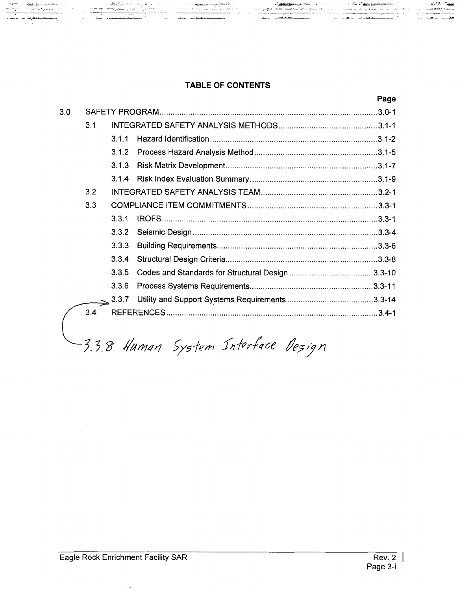## TABLE OF **CONTENTS**

1 <del>14, decemb</del>ri

⊐av po je

محدثها ومعلموك

|     |     |       |  | Page |
|-----|-----|-------|--|------|
| 3.0 |     |       |  |      |
|     | 3.1 |       |  |      |
|     |     | 3.1.1 |  |      |
|     |     | 3.1.2 |  |      |
|     |     | 3.1.3 |  |      |
|     |     | 3.1.4 |  |      |
|     | 3.2 |       |  |      |
|     | 3.3 |       |  |      |
|     |     | 3.3.1 |  |      |
|     |     | 3.3.2 |  |      |
|     |     | 3.3.3 |  |      |
|     |     | 3.3.4 |  |      |
|     |     | 3.3.5 |  |      |
|     |     | 3.3.6 |  |      |
|     |     | 3.3.7 |  |      |
|     | 3.4 |       |  |      |
|     |     |       |  |      |

3.3.8 Human System Interface Design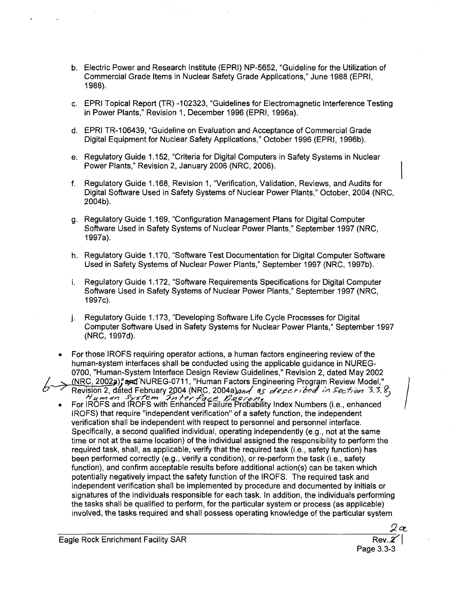- b. Electric Power and Research Institute (EPRI) NP-5652, "Guideline for the Utilization of Commercial Grade Items in Nuclear Safety Grade Applications," June 1988 (EPRI, 1988).
- c. EPRI Topical Report (TR) -102323, "Guidelines for Electromagnetic Interference Testing in Power Plants," Revision **1,** December 1996 (EPRI, 1996a).
- d. EPRI TR-106439, "Guideline on Evaluation and Acceptance of Commercial Grade Digital Equipment for Nuclear Safety Applications," October 1996 (EPRI, 1996b).
- e. Regulatory Guide 1.152, "Criteria for Digital Computers in Safety Systems in Nuclear Power Plants," Revision 2, January 2006 (NRC, 2006).
- f. Regulatory Guide 1.168, Revision 1, "Verification, Validation, Reviews, and Audits for Digital Software Used in Safety Systems of Nuclear Power Plants," October, 2004 (NRC, 2004b).
- g. Regulatory Guide 1.169, "Configuration Management Plans for Digital Computer Software Used in Safety Systems of Nuclear Power Plants," September 1997 (NRC, 1997a).
- h. Regulatory Guide 1.170, "Software Test Documentation for Digital Computer Software Used in Safety Systems of Nuclear Power Plants," September 1997 (NRC, 1997b).
- i. Regulatory Guide 1.172, "Software Requirements Specifications for Digital Computer Software Used in Safety Systems of Nuclear Power Plants," September 1997 (NRC, 1997c).
- j. Regulatory Guide 1.173, "Developing Software Life Cycle Processes for Digital Computer Software Used in Safety Systems for Nuclear Power Plants," September 1997 (NRC, 1997d).
- For those **IROFS** requiring operator actions, a human factors engineering review of the human-system interfaces shall be conducted using the applicable guidance in NUREG-0700, "Human-System Interface Design Review Guidelines," Revision 2, dated May 2002 NRC, 2002a), and NUREG-0711, "Human Factors Engineering Program Review Model,"
	- Revision 2, dated February 2004 (NRC, 2004a)<br>And as described in Section 3.3.8,<br>For IROFS and IROFS with Enhanced Failure Probability Index Numbers (i.e., enhanced IROFS) that require "independent verification" of a safety function, the independent verification shall be independent with respect to personnel and personnel interface. Specifically, a second qualified individual, operating independently (e.g., not at the same time or not at the same location) of the individual assigned the responsibility to perform the required task, shall, as applicable, verify that the required task (i.e., safety function) has been performed correctly (e.g., verify a condition), or re-perform the task (i.e., safety function), and confirm acceptable results before additional action(s) can be taken which potentially negatively impact the safety function of the IROFS. The required task and independent verification shall be implemented by procedure and documented by initials or signatures of the individuals responsible for each task. In addition, the individuals performing the tasks shall be qualified to perform, for the particular system or process (as applicable) involved, the tasks required and shall possess operating knowledge of the particular system

Page 3.3-3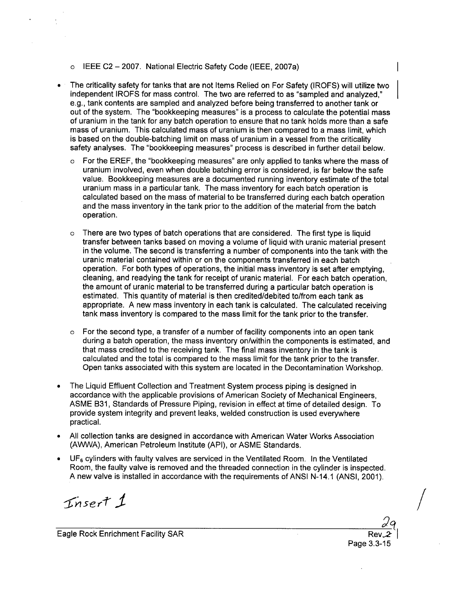#### o IEEE C2 - 2007. National Electric Safety Code (IEEE, 2007a)

- The criticality safety for tanks that are not Items Relied on For Safety (IROFS) will utilize two independent IROFS for mass control. The two are referred to as "sampled and analyzed," e.g., tank contents are sampled and analyzed before being transferred to another tank or out of the system. The "bookkeeping measures" is a process to calculate the potential mass of uranium in the tank for any batch operation to ensure that no tank holds more than a safe mass of uranium. This calculated mass of uranium is then compared to a mass limit, which is based on the double-batching limit on mass of uranium in a vessel from the criticality safety analyses. The "bookkeeping measures" process is described in further detail below.
	- $\circ$  For the EREF, the "bookkeeping measures" are only applied to tanks where the mass of uranium involved, even when double batching error is considered, is far below the safe value. Bookkeeping measures are a documented running inventory estimate of the total uranium mass in a particular tank. The mass inventory for each batch operation is calculated based on the mass of material to be transferred during each batch operation and the mass inventory in the tank prior to the addition of the material from the batch operation.
	- $\circ$  There are two types of batch operations that are considered. The first type is liquid transfer between tanks based on moving a volume of liquid with uranic material present in the volume. The second is transferring a number of components into the tank with the uranic material contained within or on the components transferred in each batch operation. For both types of operations, the initial mass inventory is set after emptying, cleaning, and readying the tank for receipt of uranic material. For each batch operation, the amount of uranic material to be transferred during a particular batch operation is estimated. This quantity of material is then credited/debited to/from each tank as appropriate. A new mass inventory in each tank is calculated. The calculated receiving tank mass inventory is compared to the mass limit for the tank prior to the transfer.
	- $\circ$  For the second type, a transfer of a number of facility components into an open tank during a batch operation, the mass inventory on/within the components is estimated, and that mass credited to the receiving tank. The final mass inventory in the tank is calculated and the total is compared to the mass limit for the tank prior to the transfer. Open tanks associated with this system are located in the Decontamination Workshop.
- **"** The Liquid Effluent Collection and Treatment System process piping is designed in accordance with the applicable provisions of American Society of Mechanical Engineers, ASME B31, Standards of Pressure Piping, revision in effect at time of detailed design. To provide system integrity and prevent leaks, welded construction is used everywhere practical.
- \* All collection tanks are designed in accordance with American Water Works Association (AWWA), American Petroleum Institute (API), or ASME Standards.
- \* **UF6** cylinders with faulty valves are serviced in the Ventilated Room. In the Ventilated Room, the faulty valve is removed and the threaded connection in the cylinder is inspected. A new valve is installed in accordance with the requirements of ANSI N-14.1 (ANSI, 2001).

 $Insert 1$ 

Eagle Rock Enrichment Facility SAR

Page 3.3-15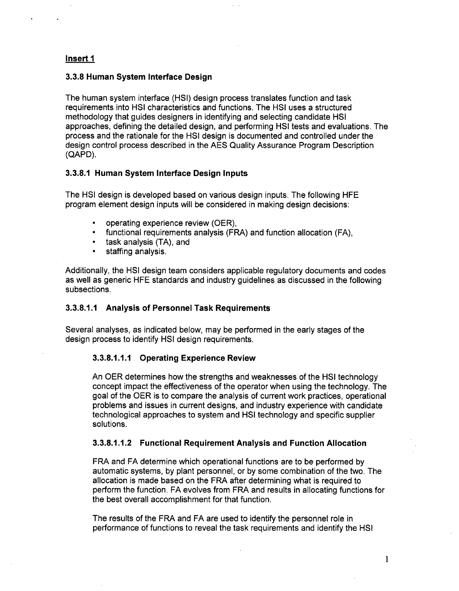## Insert **I**

## **3.3.8** Human System Interface Design

The human system interface (HSI) design process translates function and task requirements into HSI characteristics and functions. The HSI uses a structured methodology that guides designers in identifying and selecting candidate HSI approaches, defining the detailed design, and performing HSI tests and evaluations. The process and the rationale for the HSI design is documented and controlled under the design control process described in the AES Quality Assurance Program Description (QAPD).

## **3.3.8.1** Human System Interface Design Inputs

The HSI design is developed based on various design inputs. The following HFE program element design inputs will be considered in making design decisions:

- operating experience review (OER),
- functional requirements analysis (FRA) and function allocation (FA),
- task analysis (TA), and
- **"** staffing analysis.

Additionally, the HSI design team considers applicable regulatory documents and codes as well as generic HFE standards and industry guidelines as discussed in the following subsections.

## **3.3.8.1.1** Analysis of Personnel Task Requirements

Several analyses, as indicated below, may be performed in the early stages of the design process to identify HSI design requirements.

## **3.3.8.1.1.1** Operating Experience Review

An OER determines how the strengths and weaknesses of the HSI technology concept impact the effectiveness of the operator when using the technology. The goal of the OER is to compare the analysis of current work practices, operational problems and issues in current designs, and industry experience with candidate technological approaches to system and HSI technology and specific supplier solutions.

## **3.3.8.1.1.2** Functional Requirement Analysis and Function Allocation

FRA and FA determine which operational functions are to be performed by automatic systems, by plant personnel, or by some combination of the two. The allocation is made based on the FRA after determining what is required to perform the function. FA evolves from FRA and results in allocating functions for the best overall accomplishment for that function.

The results of the FRA and FA are used to identify the personnel role in performance of functions to reveal the task requirements and identify the HSI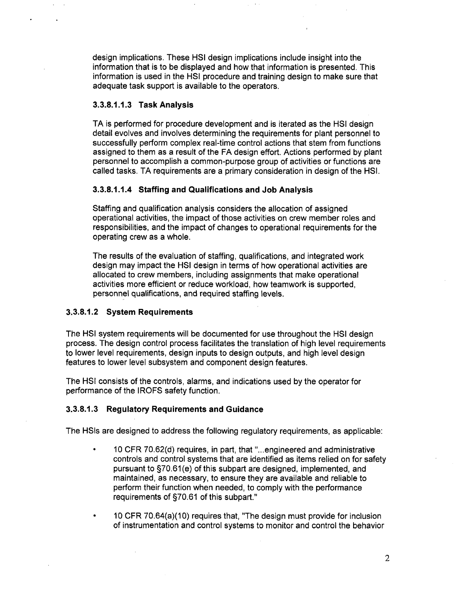design implications. These HSI design implications include insight into the information that is to be displayed and how that information is presented. This information is used in the HSI procedure and training design to make sure that adequate task support is available to the operators.

## **3.3.8.1.1.3** Task Analysis

TA is performed for procedure development and is iterated as the HSI design detail evolves and involves determining the requirements for plant personnel to successfully perform complex real-time control actions that stem from functions assigned to them as a result of the FA design effort. Actions performed by plant personnel to accomplish a common-purpose group of activities or functions are called tasks. TA requirements are a primary consideration in design of the HSI.

## **3.3.8.1.1.4** Staffing and Qualifications and Job Analysis

Staffing and qualification analysis considers the allocation of assigned operational activities, the impact of those activities on crew member roles and responsibilities, and the impact of changes to operational requirements for the operating crew as a whole.

The results of the evaluation of staffing, qualifications, and integrated work design may impact the HSI design in terms of how operational activities are allocated to crew members, including assignments that make operational activities more efficient or reduce workload, how teamwork is supported, personnel qualifications, and required staffing levels.

## **3.3.8.1.2** System Requirements

The HSI system requirements will be documented for use throughout the HSI design process. The design control process facilitates the translation of high level requirements to lower level requirements, design inputs to design outputs, and high level design features to lower level subsystem and component design features.

The HSI consists of the controls, alarms, and indications used by the operator for performance of the IROFS safety function.

## **3.3.8.1.3** Regulatory Requirements and Guidance

The HSIs are designed to address the following regulatory requirements, as applicable:

- 10 CFR 70.62(d) requires, in part, that "...engineered and administrative controls and control systems that are identified as items relied on for safety pursuant to §70.61(e) of this subpart are designed, implemented, and maintained, as necessary, to ensure they are available and reliable to perform their function when needed, to comply with the performance requirements of §70.61 of this subpart."
- 10 CFR 70.64(a)(10) requires that, "The design must provide for inclusion of instrumentation and control systems to monitor and control the behavior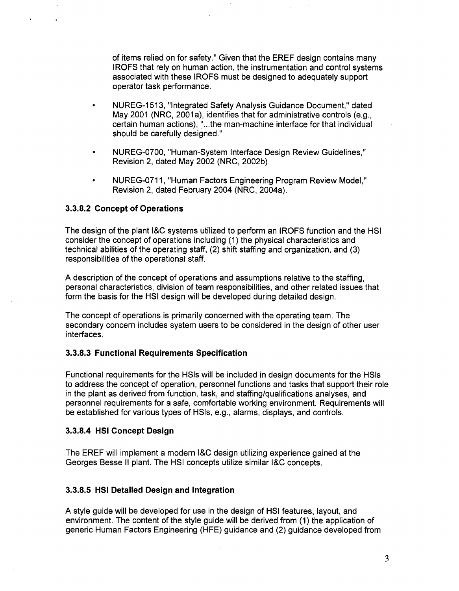of items relied on for safety." Given that the EREF design contains many IROFS that rely on human action, the instrumentation and control systems associated with these IROFS must be designed to adequately support operator task performance.

- **"** NUREG-1 513, "Integrated Safety Analysis Guidance Document," dated May 2001 (NRC, 2001a), identifies that for administrative controls (e.g., certain human actions), "...the man-machine interface for that individual should be carefully designed."
- **"** NUREG-0700, "Human-System Interface Design Review Guidelines," Revision 2, dated May 2002 (NRC, 2002b)
- **"** NUREG-071 1, "Human Factors Engineering Program Review Model," Revision 2, dated February 2004 (NRC, 2004a).

## **3.3.8.2** Concept of Operations

The design of the plant **I&C** systems utilized to perform an IROFS function and the HSI consider the concept of operations including (1) the physical characteristics and technical abilities of the operating staff, (2) shift staffing and organization, and (3) responsibilities of the operational staff.

A description of the concept of operations and assumptions relative to the staffing, personal characteristics, division of team responsibilities, and other related issues that form the basis for the HSI design will be developed during detailed design.

The concept of operations is primarily concerned with the operating team. The secondary concern includes system users to be considered in the design of other user interfaces.

## **3.3.8.3** Functional Requirements Specification

Functional requirements for the HSIs will be included in design documents for the HSIs to address the concept of operation, personnel functions and tasks that support their role in the plant as derived from function, task, and staffing/qualifications analyses, and personnel requirements for a safe, comfortable working environment. Requirements will be established for various types of HSIs, e.g., alarms, displays, and controls.

## **3.3.8.4 HSI** Concept Design

The EREF will implement a modern I&C design utilizing experience gained at the Georges Besse II plant. The HSI concepts utilize similar **I&C** concepts.

## **3.3.8.5 HSI** Detailed Design and Integration

A style guide will be developed for use in the design of HSI features, layout, and environment. The content of the style guide will be derived from (1) the application of generic Human Factors Engineering (HFE) guidance and (2) guidance developed from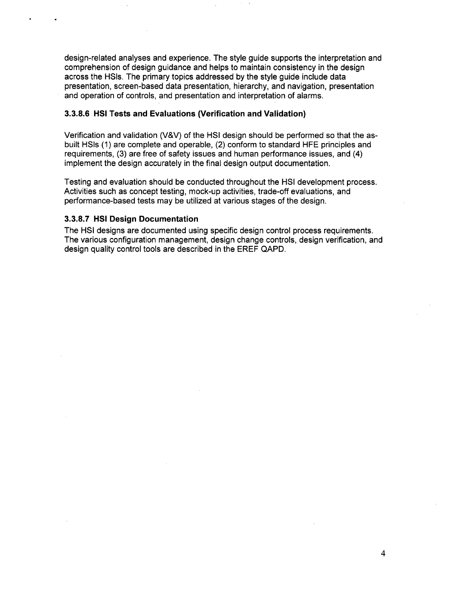design-related analyses and experience. The style guide supports the interpretation and comprehension of design guidance and helps to maintain consistency in the design across the HSIs. The primary topics addressed by the style guide include data presentation, screen-based data presentation, hierarchy, and navigation, presentation and operation of controls, and presentation and interpretation of alarms.

## **3.3.8.6** HSI Tests and Evaluations (Verification and Validation)

Verification and validation (V&V) of the HSI design should be performed so that the asbuilt HSIs (1) are complete and operable, (2) conform to standard HFE principles and requirements, (3) are free of safety issues and human performance issues, and (4) implement the design accurately in the final design output documentation.

Testing and evaluation should be conducted throughout the HSI development process. Activities such as concept testing, mock-up activities, trade-off evaluations, and performance-based tests may be utilized at various stages of the design.

## 3.3.8.7 **HSI** Design Documentation

The HSI designs are documented using specific design control process requirements. The various configuration management, design change controls, design verification, and design quality control tools are described in the EREF QAPD.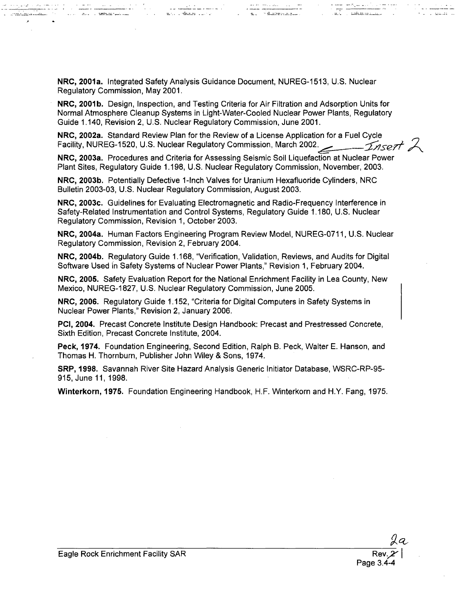NRC, 2001a. Integrated Safety Analysis Guidance Document, NUREG-1513, U.S. Nuclear Regulatory Commission, May 2001.

a matematika kan kan bahasa di kacamatan di kacamatan di kacamatan di kacamatan di kacamatan di kacamatan di k

NRC, 2001b. Design, Inspection, and Testing Criteria for Air Filtration and Adsorption Units for Normal Atmosphere Cleanup Systems in Light-Water-Cooled Nuclear Power Plants, Regulatory Guide 1.140, Revision 2, U.S. Nuclear Regulatory Commission, June 2001.

سيفرغ رحما الجاجيا

and the family of the contract of the contract of the contract of the contract of the contract of the contract of the contract of the contract of the contract of the contract of the contract of the contract of the contract

NRC, 2002a. Standard Review Plan for the Review of a License Application for a Fuel Cycle Facility, NUREG-1520, U.S. Nuclear Regulatory Commission, March 2002.  $\angle$   $\angle$   $\angle$   $\angle$   $\angle$ 

NRC, 2003a. Procedures and Criteria for Assessing Seismic Soil Liquefaction at Nuclear Power Plant Sites, Regulatory Guide 1.198, U.S. Nuclear Regulatory Commission, November, 2003.

NRC, 2003b. Potentially Defective 1-Inch Valves for Uranium Hexafluoride Cylinders, NRC Bulletin 2003-03, U.S. Nuclear Regulatory Commission, August 2003.

NRC, 2003c. Guidelines for Evaluating Electromagnetic and Radio-Frequency Interference in Safety-Related Instrumentation and Control Systems, Regulatory Guide 1.180, U.S. Nuclear Regulatory Commission, Revision 1, October 2003.

NRC, 2004a. Human Factors Engineering Program Review Model, NUREG-071 1, U.S. Nuclear Regulatory Commission, Revision 2, February 2004.

NRC, 2004b. Regulatory Guide 1.168, "Verification, Validation, Reviews, and Audits for Digital Software Used in Safety Systems of Nuclear Power Plants," Revision 1, February 2004.

NRC, 2005. Safety Evaluation Report for the National Enrichment Facility in Lea County, New Mexico, NUREG-1827, U.S. Nuclear Regulatory Commission, June 2005.

NRC, 2006. Regulatory Guide 1.152, "Criteria for Digital Computers in Safety Systems in Nuclear Power Plants," Revision 2, January 2006.

PCI, 2004. Precast Concrete Institute Design Handbook: Precast and Prestressed Concrete, Sixth Edition, Precast Concrete Institute, 2004.

Peck, 1974. Foundation Engineering, Second Edition, Ralph B. Peck, Walter E. Hanson, and Thomas H. Thornburn, Publisher John Wiley & Sons, 1974.

SRP, 1998. Savannah River Site Hazard Analysis Generic Initiator Database, WSRC-RP-95- 915, June 11, 1998.

Winterkorn, 1975. Foundation Engineering Handbook, H.F. Winterkorn and H.Y. Fang, 1975.

an ana

 $\frac{1}{100}$  . The contract  $\frac{1}{100}$ 

 $\begin{array}{c} \begin{array}{c} \begin{array}{c} \begin{array}{c} \end{array} \\ \begin{array}{c} \end{array} \\ \begin{array}{c} \end{array} \end{array} \end{array} \end{array} \begin{array}{c} \begin{array}{c} \begin{array}{c} \end{array} \\ \begin{array}{c} \end{array} \end{array} \end{array} \begin{array}{c} \begin{array}{c} \begin{array}{c} \end{array} \\ \begin{array}{c} \end{array} \end{array} \end{array} \end{array}$ 

and the communications

والجامعة والمستعرضات والالاس يتربدون أصد

<u>. Réferències de</u>